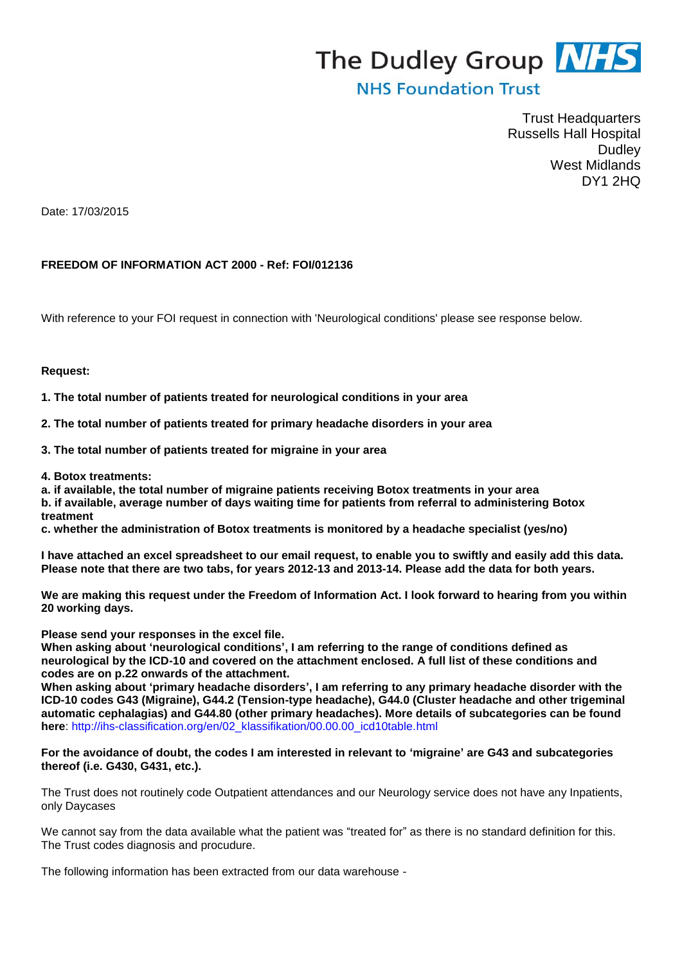# The Dudley Group **NHS**

# **NHS Foundation Trust**

Trust Headquarters Russells Hall Hospital Dudley West Midlands DY1 2HQ

Date: 17/03/2015

## **FREEDOM OF INFORMATION ACT 2000 - Ref: FOI/012136**

With reference to your FOI request in connection with 'Neurological conditions' please see response below.

#### **Request:**

**1. The total number of patients treated for neurological conditions in your area**

**2. The total number of patients treated for primary headache disorders in your area**

**3. The total number of patients treated for migraine in your area**

**4. Botox treatments:**

**a. if available, the total number of migraine patients receiving Botox treatments in your area b. if available, average number of days waiting time for patients from referral to administering Botox treatment**

**c. whether the administration of Botox treatments is monitored by a headache specialist (yes/no)**

**I have attached an excel spreadsheet to our email request, to enable you to swiftly and easily add this data. Please note that there are two tabs, for years 2012-13 and 2013-14. Please add the data for both years.**

**We are making this request under the Freedom of Information Act. I look forward to hearing from you within 20 working days.**

**Please send your responses in the excel file.** 

**When asking about 'neurological conditions', I am referring to the range of conditions defined as neurological by the ICD-10 and covered on the attachment enclosed. A full list of these conditions and codes are on p.22 onwards of the attachment.**

**When asking about 'primary headache disorders', I am referring to any primary headache disorder with the ICD-10 codes G43 (Migraine), G44.2 (Tension-type headache), G44.0 (Cluster headache and other trigeminal automatic cephalagias) and G44.80 (other primary headaches). More details of subcategories can be found here**: http://ihs-classification.org/en/02\_klassifikation/00.00.00\_icd10table.html

#### **For the avoidance of doubt, the codes I am interested in relevant to 'migraine' are G43 and subcategories thereof (i.e. G430, G431, etc.).**

The Trust does not routinely code Outpatient attendances and our Neurology service does not have any Inpatients, only Daycases

We cannot say from the data available what the patient was "treated for" as there is no standard definition for this. The Trust codes diagnosis and procudure.

The following information has been extracted from our data warehouse -